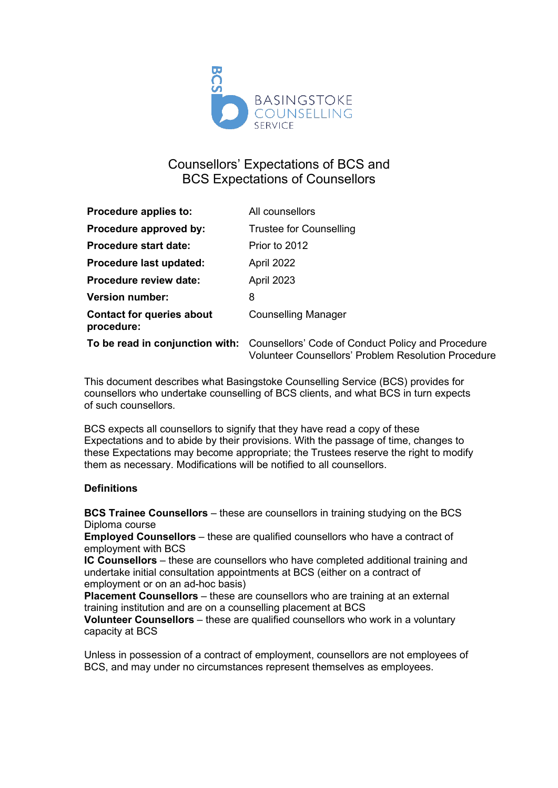

# Counsellors' Expectations of BCS and BCS Expectations of Counsellors

| Procedure applies to:                          | All counsellors                                                                                                                                 |
|------------------------------------------------|-------------------------------------------------------------------------------------------------------------------------------------------------|
| Procedure approved by:                         | <b>Trustee for Counselling</b>                                                                                                                  |
| <b>Procedure start date:</b>                   | Prior to 2012                                                                                                                                   |
| Procedure last updated:                        | April 2022                                                                                                                                      |
| <b>Procedure review date:</b>                  | April 2023                                                                                                                                      |
| <b>Version number:</b>                         | 8                                                                                                                                               |
| <b>Contact for queries about</b><br>procedure: | <b>Counselling Manager</b>                                                                                                                      |
|                                                | To be read in conjunction with: Counsellors' Code of Conduct Policy and Procedure<br><b>Volunteer Counsellors' Problem Resolution Procedure</b> |

This document describes what Basingstoke Counselling Service (BCS) provides for counsellors who undertake counselling of BCS clients, and what BCS in turn expects of such counsellors.

BCS expects all counsellors to signify that they have read a copy of these Expectations and to abide by their provisions. With the passage of time, changes to these Expectations may become appropriate; the Trustees reserve the right to modify them as necessary. Modifications will be notified to all counsellors.

#### **Definitions**

**BCS Trainee Counsellors** – these are counsellors in training studying on the BCS Diploma course

**Employed Counsellors** – these are qualified counsellors who have a contract of employment with BCS

**IC Counsellors** – these are counsellors who have completed additional training and undertake initial consultation appointments at BCS (either on a contract of employment or on an ad-hoc basis)

**Placement Counsellors** – these are counsellors who are training at an external training institution and are on a counselling placement at BCS

**Volunteer Counsellors** – these are qualified counsellors who work in a voluntary capacity at BCS

Unless in possession of a contract of employment, counsellors are not employees of BCS, and may under no circumstances represent themselves as employees.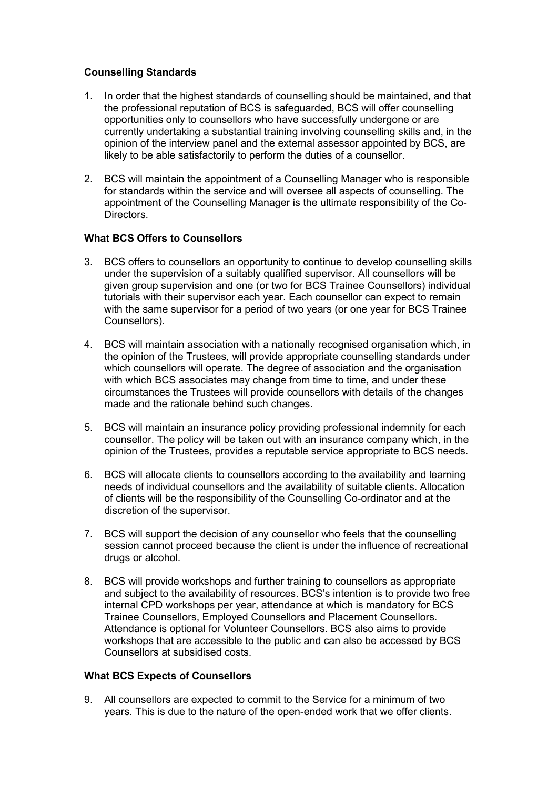#### **Counselling Standards**

- 1. In order that the highest standards of counselling should be maintained, and that the professional reputation of BCS is safeguarded, BCS will offer counselling opportunities only to counsellors who have successfully undergone or are currently undertaking a substantial training involving counselling skills and, in the opinion of the interview panel and the external assessor appointed by BCS, are likely to be able satisfactorily to perform the duties of a counsellor.
- 2. BCS will maintain the appointment of a Counselling Manager who is responsible for standards within the service and will oversee all aspects of counselling. The appointment of the Counselling Manager is the ultimate responsibility of the Co-Directors.

### **What BCS Offers to Counsellors**

- 3. BCS offers to counsellors an opportunity to continue to develop counselling skills under the supervision of a suitably qualified supervisor. All counsellors will be given group supervision and one (or two for BCS Trainee Counsellors) individual tutorials with their supervisor each year. Each counsellor can expect to remain with the same supervisor for a period of two years (or one year for BCS Trainee Counsellors).
- 4. BCS will maintain association with a nationally recognised organisation which, in the opinion of the Trustees, will provide appropriate counselling standards under which counsellors will operate. The degree of association and the organisation with which BCS associates may change from time to time, and under these circumstances the Trustees will provide counsellors with details of the changes made and the rationale behind such changes.
- 5. BCS will maintain an insurance policy providing professional indemnity for each counsellor. The policy will be taken out with an insurance company which, in the opinion of the Trustees, provides a reputable service appropriate to BCS needs.
- 6. BCS will allocate clients to counsellors according to the availability and learning needs of individual counsellors and the availability of suitable clients. Allocation of clients will be the responsibility of the Counselling Co-ordinator and at the discretion of the supervisor.
- 7. BCS will support the decision of any counsellor who feels that the counselling session cannot proceed because the client is under the influence of recreational drugs or alcohol.
- 8. BCS will provide workshops and further training to counsellors as appropriate and subject to the availability of resources. BCS's intention is to provide two free internal CPD workshops per year, attendance at which is mandatory for BCS Trainee Counsellors, Employed Counsellors and Placement Counsellors. Attendance is optional for Volunteer Counsellors. BCS also aims to provide workshops that are accessible to the public and can also be accessed by BCS Counsellors at subsidised costs.

## **What BCS Expects of Counsellors**

9. All counsellors are expected to commit to the Service for a minimum of two years. This is due to the nature of the open-ended work that we offer clients.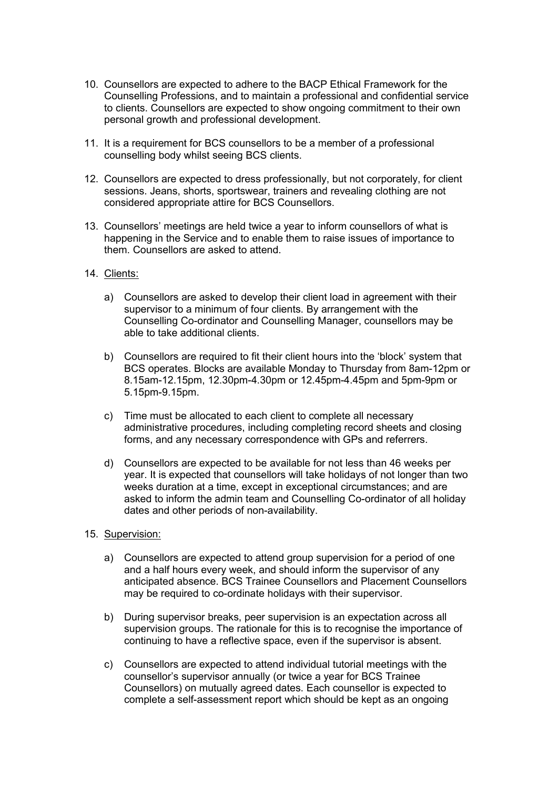- 10. Counsellors are expected to adhere to the BACP Ethical Framework for the Counselling Professions, and to maintain a professional and confidential service to clients. Counsellors are expected to show ongoing commitment to their own personal growth and professional development.
- 11. It is a requirement for BCS counsellors to be a member of a professional counselling body whilst seeing BCS clients.
- 12. Counsellors are expected to dress professionally, but not corporately, for client sessions. Jeans, shorts, sportswear, trainers and revealing clothing are not considered appropriate attire for BCS Counsellors.
- 13. Counsellors' meetings are held twice a year to inform counsellors of what is happening in the Service and to enable them to raise issues of importance to them. Counsellors are asked to attend.
- 14. Clients:
	- a) Counsellors are asked to develop their client load in agreement with their supervisor to a minimum of four clients. By arrangement with the Counselling Co-ordinator and Counselling Manager, counsellors may be able to take additional clients.
	- b) Counsellors are required to fit their client hours into the 'block' system that BCS operates. Blocks are available Monday to Thursday from 8am-12pm or 8.15am-12.15pm, 12.30pm-4.30pm or 12.45pm-4.45pm and 5pm-9pm or 5.15pm-9.15pm.
	- c) Time must be allocated to each client to complete all necessary administrative procedures, including completing record sheets and closing forms, and any necessary correspondence with GPs and referrers.
	- d) Counsellors are expected to be available for not less than 46 weeks per year. It is expected that counsellors will take holidays of not longer than two weeks duration at a time, except in exceptional circumstances; and are asked to inform the admin team and Counselling Co-ordinator of all holiday dates and other periods of non-availability.
- 15. Supervision:
	- a) Counsellors are expected to attend group supervision for a period of one and a half hours every week, and should inform the supervisor of any anticipated absence. BCS Trainee Counsellors and Placement Counsellors may be required to co-ordinate holidays with their supervisor.
	- b) During supervisor breaks, peer supervision is an expectation across all supervision groups. The rationale for this is to recognise the importance of continuing to have a reflective space, even if the supervisor is absent.
	- c) Counsellors are expected to attend individual tutorial meetings with the counsellor's supervisor annually (or twice a year for BCS Trainee Counsellors) on mutually agreed dates. Each counsellor is expected to complete a self-assessment report which should be kept as an ongoing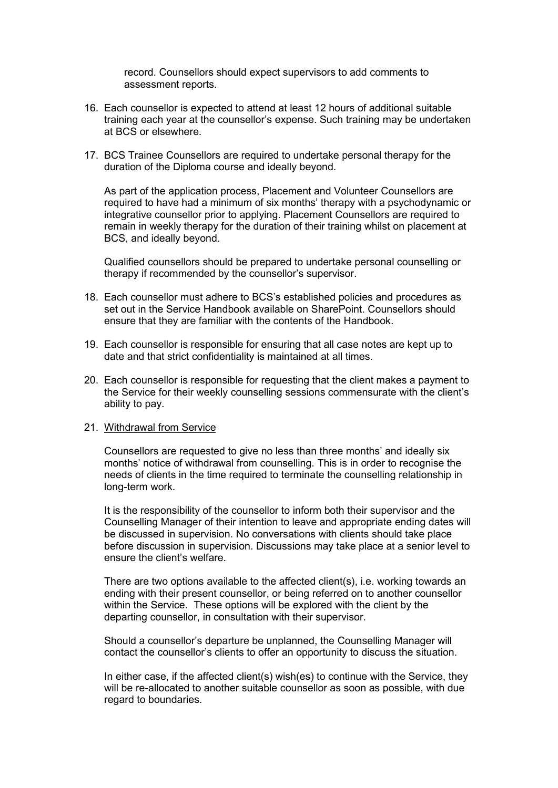record. Counsellors should expect supervisors to add comments to assessment reports.

- 16. Each counsellor is expected to attend at least 12 hours of additional suitable training each year at the counsellor's expense. Such training may be undertaken at BCS or elsewhere.
- 17. BCS Trainee Counsellors are required to undertake personal therapy for the duration of the Diploma course and ideally beyond.

As part of the application process, Placement and Volunteer Counsellors are required to have had a minimum of six months' therapy with a psychodynamic or integrative counsellor prior to applying. Placement Counsellors are required to remain in weekly therapy for the duration of their training whilst on placement at BCS, and ideally beyond.

Qualified counsellors should be prepared to undertake personal counselling or therapy if recommended by the counsellor's supervisor.

- 18. Each counsellor must adhere to BCS's established policies and procedures as set out in the Service Handbook available on SharePoint. Counsellors should ensure that they are familiar with the contents of the Handbook.
- 19. Each counsellor is responsible for ensuring that all case notes are kept up to date and that strict confidentiality is maintained at all times.
- 20. Each counsellor is responsible for requesting that the client makes a payment to the Service for their weekly counselling sessions commensurate with the client's ability to pay.

#### 21. Withdrawal from Service

Counsellors are requested to give no less than three months' and ideally six months' notice of withdrawal from counselling. This is in order to recognise the needs of clients in the time required to terminate the counselling relationship in long-term work.

It is the responsibility of the counsellor to inform both their supervisor and the Counselling Manager of their intention to leave and appropriate ending dates will be discussed in supervision. No conversations with clients should take place before discussion in supervision. Discussions may take place at a senior level to ensure the client's welfare.

There are two options available to the affected client(s), i.e. working towards an ending with their present counsellor, or being referred on to another counsellor within the Service. These options will be explored with the client by the departing counsellor, in consultation with their supervisor.

Should a counsellor's departure be unplanned, the Counselling Manager will contact the counsellor's clients to offer an opportunity to discuss the situation.

In either case, if the affected client(s) wish(es) to continue with the Service, they will be re-allocated to another suitable counsellor as soon as possible, with due regard to boundaries.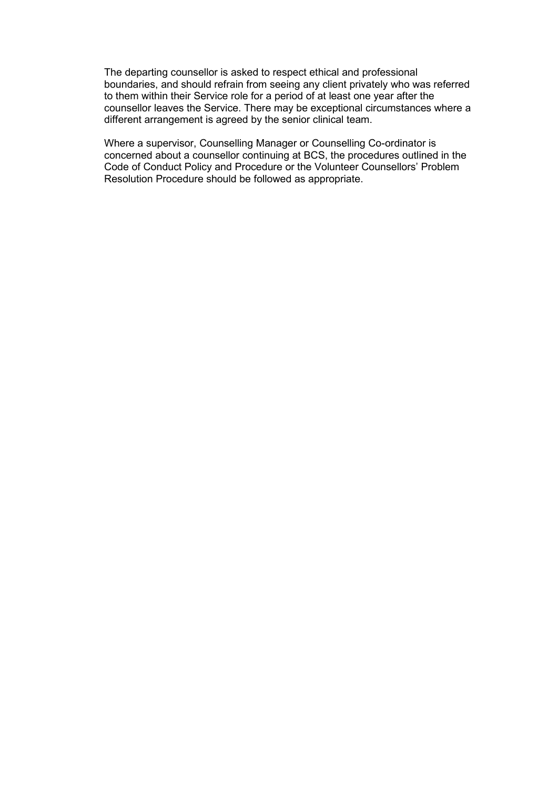The departing counsellor is asked to respect ethical and professional boundaries, and should refrain from seeing any client privately who was referred to them within their Service role for a period of at least one year after the counsellor leaves the Service. There may be exceptional circumstances where a different arrangement is agreed by the senior clinical team.

Where a supervisor, Counselling Manager or Counselling Co-ordinator is concerned about a counsellor continuing at BCS, the procedures outlined in the Code of Conduct Policy and Procedure or the Volunteer Counsellors' Problem Resolution Procedure should be followed as appropriate.